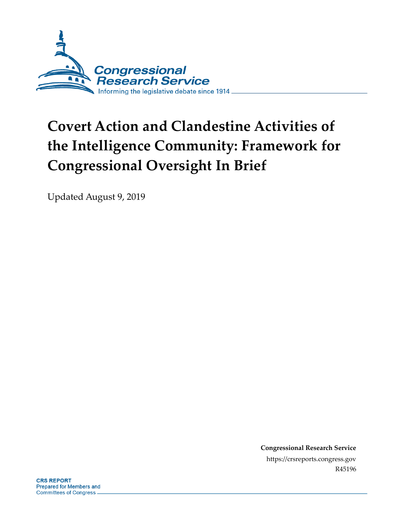

# **Covert Action and Clandestine Activities of the Intelligence Community: Framework for Congressional Oversight In Brief**

Updated August 9, 2019

**Congressional Research Service** https://crsreports.congress.gov R45196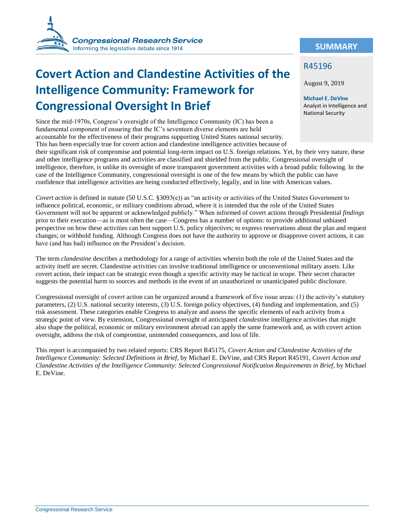

## **Covert Action and Clandestine Activities of the Intelligence Community: Framework for Congressional Oversight In Brief**

Since the mid-1970s, Congress's oversight of the Intelligence Community (IC) has been a fundamental component of ensuring that the IC's seventeen diverse elements are held accountable for the effectiveness of their programs supporting United States national security. This has been especially true for covert action and clandestine intelligence activities because of

their significant risk of compromise and potential long-term impact on U.S. foreign relations. Yet, by their very nature, these and other intelligence programs and activities are classified and shielded from the public. Congressional oversight of intelligence, therefore, is unlike its oversight of more transparent government activities with a broad public following. In the case of the Intelligence Community, congressional oversight is one of the few means by which the public can have confidence that intelligence activities are being conducted effectively, legally, and in line with American values.

*Covert action* is defined in statute (50 U.S.C. §3093(e)) as "an activity or activities of the United States Government to influence political, economic, or military conditions abroad, where it is intended that the role of the United States Government will not be apparent or acknowledged publicly." When informed of covert actions through Presidential *findings* prior to their execution—as is most often the case—Congress has a number of options: to provide additional unbiased perspective on how these activities can best support U.S. policy objectives; to express reservations about the plan and request changes; or withhold funding. Although Congress does not have the authority to approve or disapprove covert actions, it can have (and has had) influence on the President's decision.

The term *clandestine* describes a methodology for a range of activities wherein both the role of the United States and the activity itself are secret. Clandestine activities can involve traditional intelligence or unconventional military assets. Like covert action, their impact can be strategic even though a specific activity may be tactical in scope. Their secret character suggests the potential harm to sources and methods in the event of an unauthorized or unanticipated public disclosure.

Congressional oversight of *covert* action can be organized around a framework of five issue areas: (1) the activity's statutory parameters, (2) U.S. national security interests, (3) U.S. foreign policy objectives, (4) funding and implementation, and (5) risk assessment. These categories enable Congress to analyze and assess the specific elements of each activity from a strategic point of view. By extension, Congressional oversight of anticipated *clandestine* intelligence activities that might also shape the political, economic or military environment abroad can apply the same framework and, as with covert action oversight, address the risk of compromise, unintended consequences, and loss of life.

This report is accompanied by two related reports: CRS Report R45175, *Covert Action and Clandestine Activities of the Intelligence Community: Selected Definitions in Brief*, by Michael E. DeVine, and CRS Report R45191, *Covert Action and Clandestine Activities of the Intelligence Community: Selected Congressional Notification Requirements in Brief*, by Michael E. DeVine.

#### **SUMMARY**

#### R45196

August 9, 2019

**Michael E. DeVine** Analyst in Intelligence and National Security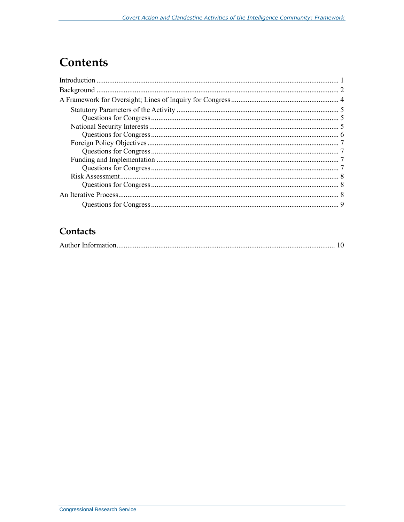## **Contents**

## Contacts

|--|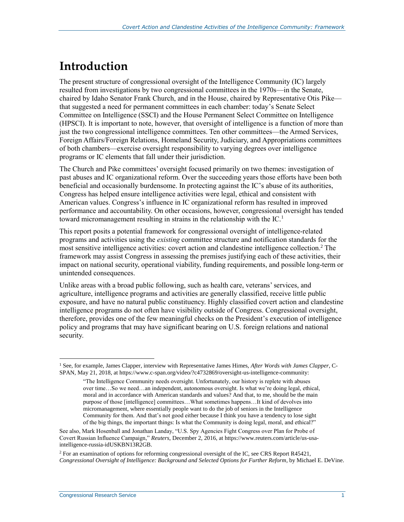## <span id="page-3-0"></span>**Introduction**

The present structure of congressional oversight of the Intelligence Community (IC) largely resulted from investigations by two congressional committees in the 1970s—in the Senate, chaired by Idaho Senator Frank Church, and in the House, chaired by Representative Otis Pike that suggested a need for permanent committees in each chamber: today's Senate Select Committee on Intelligence (SSCI) and the House Permanent Select Committee on Intelligence (HPSCI). It is important to note, however, that oversight of intelligence is a function of more than just the two congressional intelligence committees. Ten other committees—the Armed Services, Foreign Affairs/Foreign Relations, Homeland Security, Judiciary, and Appropriations committees of both chambers—exercise oversight responsibility to varying degrees over intelligence programs or IC elements that fall under their jurisdiction.

The Church and Pike committees' oversight focused primarily on two themes: investigation of past abuses and IC organizational reform. Over the succeeding years those efforts have been both beneficial and occasionally burdensome. In protecting against the IC's abuse of its authorities, Congress has helped ensure intelligence activities were legal, ethical and consistent with American values. Congress's influence in IC organizational reform has resulted in improved performance and accountability. On other occasions, however, congressional oversight has tended toward micromanagement resulting in strains in the relationship with the IC.<sup>1</sup>

This report posits a potential framework for congressional oversight of intelligence-related programs and activities using the *existing* committee structure and notification standards for the most sensitive intelligence activities: covert action and clandestine intelligence collection.<sup>2</sup> The framework may assist Congress in assessing the premises justifying each of these activities, their impact on national security, operational viability, funding requirements, and possible long-term or unintended consequences.

Unlike areas with a broad public following, such as health care, veterans' services, and agriculture, intelligence programs and activities are generally classified, receive little public exposure, and have no natural public constituency. Highly classified covert action and clandestine intelligence programs do not often have visibility outside of Congress. Congressional oversight, therefore, provides one of the few meaningful checks on the President's execution of intelligence policy and programs that may have significant bearing on U.S. foreign relations and national security.

<sup>1</sup> See, for example, James Clapper, interview with Representative James Himes, *After Words with James Clapper*, C-SPAN, May 21, 2018, at https://www.c-span.org/video/?c4732869/oversight-us-intelligence-community:

<sup>&</sup>quot;The Intelligence Community needs oversight. Unfortunately, our history is replete with abuses over time…So we need…an independent, autonomous oversight. Is what we're doing legal, ethical, moral and in accordance with American standards and values? And that, to me, should be the main purpose of those [intelligence] committees…What sometimes happens…It kind of devolves into micromanagement, where essentially people want to do the job of seniors in the Intelligence Community for them. And that's not good either because I think you have a tendency to lose sight of the big things, the important things: Is what the Community is doing legal, moral, and ethical?"

See also, Mark Hosenball and Jonathan Landay, "U.S. Spy Agencies Fight Congress over Plan for Probe of Covert Russian Influence Campaign," *Reuters*, December 2, 2016, at https://www.reuters.com/article/us-usaintelligence-russia-idUSKBN13R2GB.

<sup>2</sup> For an examination of options for reforming congressional oversight of the IC, see CRS Report R45421, *Congressional Oversight of Intelligence: Background and Selected Options for Further Reform*, by Michael E. DeVine.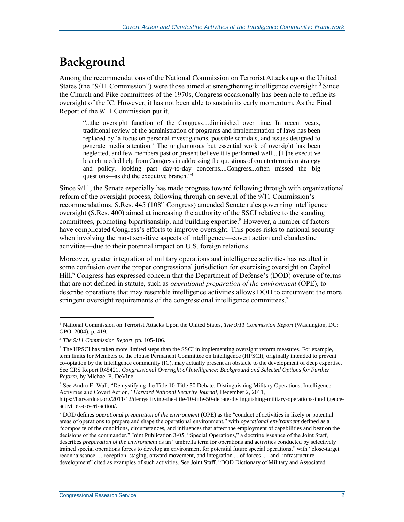## <span id="page-4-0"></span>**Background**

Among the recommendations of the National Commission on Terrorist Attacks upon the United States (the "9/11 Commission") were those aimed at strengthening intelligence oversight.<sup>3</sup> Since the Church and Pike committees of the 1970s, Congress occasionally has been able to refine its oversight of the IC. However, it has not been able to sustain its early momentum. As the Final Report of the 9/11 Commission put it,

"...the oversight function of the Congress…diminished over time. In recent years, traditional review of the administration of programs and implementation of laws has been replaced by 'a focus on personal investigations, possible scandals, and issues designed to generate media attention.' The unglamorous but essential work of oversight has been neglected, and few members past or present believe it is performed well....[T]he executive branch needed help from Congress in addressing the questions of counterterrorism strategy and policy, looking past day-to-day concerns....Congress...often missed the big questions—as did the executive branch."<sup>4</sup>

Since 9/11, the Senate especially has made progress toward following through with organizational reform of the oversight process, following through on several of the 9/11 Commission's recommendations. S.Res.  $445 (108<sup>th</sup> Congress)$  amended Senate rules governing intelligence oversight (S.Res. 400) aimed at increasing the authority of the SSCI relative to the standing committees, promoting bipartisanship, and building expertise.<sup>5</sup> However, a number of factors have complicated Congress's efforts to improve oversight. This poses risks to national security when involving the most sensitive aspects of intelligence—covert action and clandestine activities—due to their potential impact on U.S. foreign relations.

Moreover, greater integration of military operations and intelligence activities has resulted in some confusion over the proper congressional jurisdiction for exercising oversight on Capitol Hill.<sup>6</sup> Congress has expressed concern that the Department of Defense's (DOD) overuse of terms that are not defined in statute, such as *operational preparation of the environment* (OPE), to describe operations that may resemble intelligence activities allows DOD to circumvent the more stringent oversight requirements of the congressional intelligence committees.<sup>7</sup>

<sup>3</sup> National Commission on Terrorist Attacks Upon the United States, *The 9/11 Commission Report* (Washington, DC: GPO, 2004). p. 419.

<sup>4</sup> *The 9/11 Commission Report*. pp. 105-106.

<sup>&</sup>lt;sup>5</sup> The HPSCI has taken more limited steps than the SSCI in implementing oversight reform measures. For example, term limits for Members of the House Permanent Committee on Intelligence (HPSCI), originally intended to prevent co-optation by the intelligence community (IC), may actually present an obstacle to the development of deep expertise. See CRS Report R45421, *Congressional Oversight of Intelligence: Background and Selected Options for Further Reform*, by Michael E. DeVine.

<sup>6</sup> See Andru E. Wall, "Demystifying the Title 10-Title 50 Debate: Distinguishing Military Operations, Intelligence Activities and Covert Action," *Harvard National Security Journal*, December 2, 2011,

https://harvardnsj.org/2011/12/demystifying-the-title-10-title-50-debate-distinguishing-military-operations-intelligenceactivities-covert-action/.

<sup>7</sup> DOD defines *operational preparation of the environment* (OPE) as the "conduct of activities in likely or potential areas of operations to prepare and shape the operational environment," with *operational environment* defined as a "composite of the conditions, circumstances, and influences that affect the employment of capabilities and bear on the decisions of the commander." Joint Publication 3-05, "Special Operations," a doctrine issuance of the Joint Staff, describes *preparation of the environment* as an "umbrella term for operations and activities conducted by selectively trained special operations forces to develop an environment for potential future special operations," with "close-target reconnaissance … reception, staging, onward movement, and integration ... of forces ... [and] infrastructure development" cited as examples of such activities. See Joint Staff, "DOD Dictionary of Military and Associated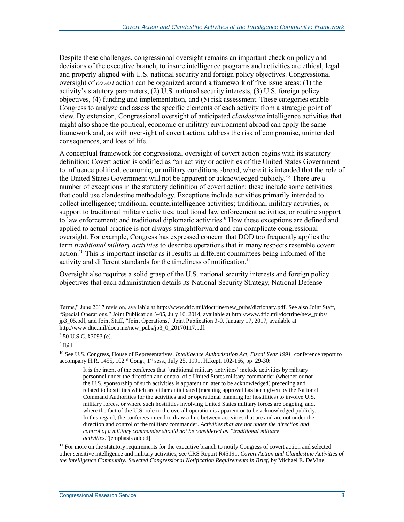Despite these challenges, congressional oversight remains an important check on policy and decisions of the executive branch, to insure intelligence programs and activities are ethical, legal and properly aligned with U.S. national security and foreign policy objectives. Congressional oversight of *covert* action can be organized around a framework of five issue areas: (1) the activity's statutory parameters, (2) U.S. national security interests, (3) U.S. foreign policy objectives, (4) funding and implementation, and (5) risk assessment. These categories enable Congress to analyze and assess the specific elements of each activity from a strategic point of view. By extension, Congressional oversight of anticipated *clandestine* intelligence activities that might also shape the political, economic or military environment abroad can apply the same framework and, as with oversight of covert action, address the risk of compromise, unintended consequences, and loss of life.

A conceptual framework for congressional oversight of covert action begins with its statutory definition: Covert action is codified as "an activity or activities of the United States Government to influence political, economic, or military conditions abroad, where it is intended that the role of the United States Government will not be apparent or acknowledged publicly." <sup>8</sup> There are a number of exceptions in the statutory definition of covert action; these include some activities that could use clandestine methodology. Exceptions include activities primarily intended to collect intelligence; traditional counterintelligence activities; traditional military activities, or support to traditional military activities; traditional law enforcement activities, or routine support to law enforcement; and traditional diplomatic activities.<sup>9</sup> How these exceptions are defined and applied to actual practice is not always straightforward and can complicate congressional oversight. For example, Congress has expressed concern that DOD too frequently applies the term *traditional military activities* to describe operations that in many respects resemble covert action.<sup>10</sup> This is important insofar as it results in different committees being informed of the activity and different standards for the timeliness of notification.<sup>11</sup>

Oversight also requires a solid grasp of the U.S. national security interests and foreign policy objectives that each administration details its National Security Strategy, National Defense

Terms," June 2017 revision, available at http://www.dtic.mil/doctrine/new\_pubs/dictionary.pdf. See also Joint Staff, "Special Operations," Joint Publication 3-05, July 16, 2014, available at http://www.dtic.mil/doctrine/new\_pubs/ jp3\_05.pdf, and Joint Staff, "Joint Operations," Joint Publication 3-0, January 17, 2017, available at http://www.dtic.mil/doctrine/new\_pubs/jp3\_0\_20170117.pdf.

<sup>8</sup> 50 U.S.C. §3093 (e).

<sup>9</sup> Ibid.

<sup>10</sup> See U.S. Congress, House of Representatives, *Intelligence Authorization Act, Fiscal Year 1991*, conference report to accompany H.R. 1455, 102<sup>nd</sup> Cong., 1<sup>st</sup> sess., July 25, 1991, H.Rept. 102-166, pp. 29-30:

It is the intent of the conferees that 'traditional military activities' include activities by military personnel under the direction and control of a United States military commander (whether or not the U.S. sponsorship of such activities is apparent or later to be acknowledged) preceding and related to hostilities which are either anticipated (meaning approval has been given by the National Command Authorities for the activities and or operational planning for hostilities) to involve U.S. military forces, or where such hostilities involving United States military forces are ongoing, and, where the fact of the U.S. role in the overall operation is apparent or to be acknowledged publicly. In this regard, the conferees intend to draw a line between activities that are and are not under the direction and control of the military commander. *Activities that are not under the direction and control of a military commander should not be considered as "traditional military activities*."[emphasis added].

 $<sup>11</sup>$  For more on the statutory requirements for the executive branch to notify Congress of covert action and selected</sup> other sensitive intelligence and military activities, see CRS Report R45191, *Covert Action and Clandestine Activities of the Intelligence Community: Selected Congressional Notification Requirements in Brief*, by Michael E. DeVine.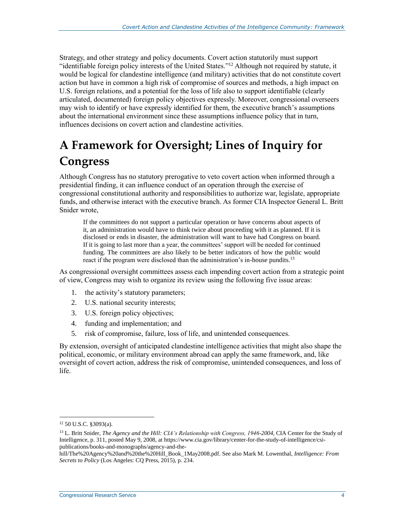Strategy, and other strategy and policy documents. Covert action statutorily must support "identifiable foreign policy interests of the United States." <sup>12</sup> Although not required by statute, it would be logical for clandestine intelligence (and military) activities that do not constitute covert action but have in common a high risk of compromise of sources and methods, a high impact on U.S. foreign relations, and a potential for the loss of life also to support identifiable (clearly articulated, documented) foreign policy objectives expressly. Moreover, congressional overseers may wish to identify or have expressly identified for them, the executive branch's assumptions about the international environment since these assumptions influence policy that in turn, influences decisions on covert action and clandestine activities.

## <span id="page-6-0"></span>**A Framework for Oversight; Lines of Inquiry for Congress**

Although Congress has no statutory prerogative to veto covert action when informed through a presidential finding, it can influence conduct of an operation through the exercise of congressional constitutional authority and responsibilities to authorize war, legislate, appropriate funds, and otherwise interact with the executive branch. As former CIA Inspector General L. Britt Snider wrote,

If the committees do not support a particular operation or have concerns about aspects of it, an administration would have to think twice about proceeding with it as planned. If it is disclosed or ends in disaster, the administration will want to have had Congress on board. If it is going to last more than a year, the committees' support will be needed for continued funding. The committees are also likely to be better indicators of how the public would react if the program were disclosed than the administration's in-house pundits.<sup>13</sup>

As congressional oversight committees assess each impending covert action from a strategic point of view, Congress may wish to organize its review using the following five issue areas:

- 1. the activity's statutory parameters;
- 2. U.S. national security interests;
- 3. U.S. foreign policy objectives;
- 4. funding and implementation; and
- 5. risk of compromise, failure, loss of life, and unintended consequences.

By extension, oversight of anticipated clandestine intelligence activities that might also shape the political, economic, or military environment abroad can apply the same framework, and, like oversight of covert action, address the risk of compromise, unintended consequences, and loss of life.

<sup>12</sup> 50 U.S.C. §3093(a).

<sup>13</sup> L. Britt Snider, *The Agency and the Hill: CIA's Relationship with Congress, 1946-2004*, CIA Center for the Study of Intelligence, p. 311, posted May 9, 2008, at https://www.cia.gov/library/center-for-the-study-of-intelligence/csipublications/books-and-monographs/agency-and-the-

hill/The%20Agency%20and%20the%20Hill\_Book\_1May2008.pdf. See also Mark M. Lowenthal, *Intelligence: From Secrets to Policy* (Los Angeles: CQ Press, 2015), p. 234.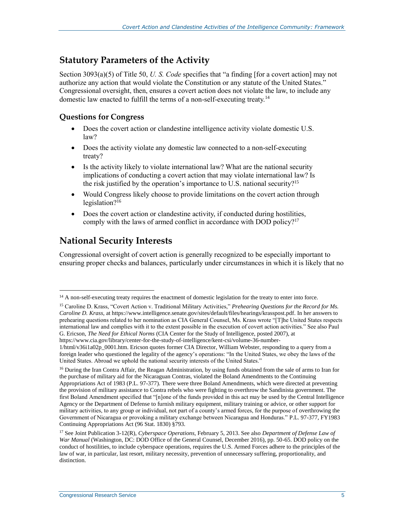### <span id="page-7-0"></span>**Statutory Parameters of the Activity**

Section 3093(a)(5) of Title 50, *U. S. Code* specifies that "a finding [for a covert action] may not authorize any action that would violate the Constitution or any statute of the United States." Congressional oversight, then, ensures a covert action does not violate the law, to include any domestic law enacted to fulfill the terms of a non-self-executing treaty.<sup>14</sup>

#### <span id="page-7-1"></span>**Questions for Congress**

- Does the covert action or clandestine intelligence activity violate domestic U.S. law?
- Does the activity violate any domestic law connected to a non-self-executing treaty?
- Is the activity likely to violate international law? What are the national security implications of conducting a covert action that may violate international law? Is the risk justified by the operation's importance to U.S. national security?<sup>15</sup>
- Would Congress likely choose to provide limitations on the covert action through legislation?<sup>16</sup>
- Does the covert action or clandestine activity, if conducted during hostilities, comply with the laws of armed conflict in accordance with DOD policy?<sup>17</sup>

### <span id="page-7-2"></span>**National Security Interests**

 $\overline{a}$ 

Congressional oversight of covert action is generally recognized to be especially important to ensuring proper checks and balances, particularly under circumstances in which it is likely that no

<sup>&</sup>lt;sup>14</sup> A non-self-executing treaty requires the enactment of domestic legislation for the treaty to enter into force.

<sup>15</sup> Caroline D. Krass, "Covert Action v. Traditional Military Activities," *Prehearing Questions for the Record for Ms. Caroline D. Krass,* at https://www.intelligence.senate.gov/sites/default/files/hearings/krasspost.pdf. In her answers to prehearing questions related to her nomination as CIA General Counsel, Ms. Krass wrote "[T]he United States respects international law and complies with it to the extent possible in the execution of covert action activities." See also Paul G. Ericson, *The Need for Ethical Norms* (CIA Center for the Study of Intelligence, posted 2007), at

https://www.cia.gov/library/center-for-the-study-of-intelligence/kent-csi/volume-36-number-1/html/v36i1a02p\_0001.htm. Ericson quotes former CIA Director, William Webster, responding to a query from a foreign leader who questioned the legality of the agency's operations: "In the United States, we obey the laws of the United States. Abroad we uphold the national security interests of the United States."

<sup>&</sup>lt;sup>16</sup> During the Iran Contra Affair, the Reagan Administration, by using funds obtained from the sale of arms to Iran for the purchase of military aid for the Nicaraguan Contras, violated the Boland Amendments to the Continuing Appropriations Act of 1983 (P.L. 97-377). There were three Boland Amendments, which were directed at preventing the provision of military assistance to Contra rebels who were fighting to overthrow the Sandinista government. The first Boland Amendment specified that "[n]one of the funds provided in this act may be used by the Central Intelligence Agency or the Department of Defense to furnish military equipment, military training or advice, or other support for military activities, to any group or individual, not part of a county's armed forces, for the purpose of overthrowing the Government of Nicaragua or provoking a military exchange between Nicaragua and Honduras." P.L. 97-377, FY1983 Continuing Appropriations Act (96 Stat. 1830) §793.

<sup>17</sup> See Joint Publication 3-12(R), *Cyberspace Operations,* February 5, 2013. See also *Department of Defense Law of War Manual* (Washington, DC: DOD Office of the General Counsel, December 2016), pp. 50-65. DOD policy on the conduct of hostilities, to include cyberspace operations, requires the U.S. Armed Forces adhere to the principles of the law of war, in particular, last resort, military necessity, prevention of unnecessary suffering, proportionality, and distinction.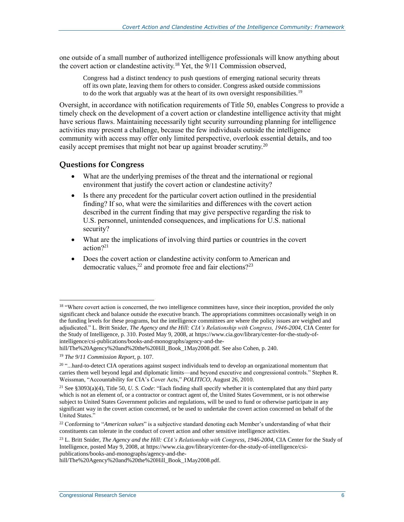one outside of a small number of authorized intelligence professionals will know anything about the covert action or clandestine activity.<sup>18</sup> Yet, the  $9/11$  Commission observed,

Congress had a distinct tendency to push questions of emerging national security threats off its own plate, leaving them for others to consider. Congress asked outside commissions to do the work that arguably was at the heart of its own oversight responsibilities.<sup>19</sup>

Oversight, in accordance with notification requirements of Title 50, enables Congress to provide a timely check on the development of a covert action or clandestine intelligence activity that might have serious flaws. Maintaining necessarily tight security surrounding planning for intelligence activities may present a challenge, because the few individuals outside the intelligence community with access may offer only limited perspective, overlook essential details, and too easily accept premises that might not bear up against broader scrutiny.<sup>20</sup>

#### <span id="page-8-0"></span>**Questions for Congress**

- What are the underlying premises of the threat and the international or regional environment that justify the covert action or clandestine activity?
- Is there any precedent for the particular covert action outlined in the presidential finding? If so, what were the similarities and differences with the covert action described in the current finding that may give perspective regarding the risk to U.S. personnel, unintended consequences, and implications for U.S. national security?
- What are the implications of involving third parties or countries in the covert action?<sup>21</sup>
- Does the covert action or clandestine activity conform to American and democratic values, $^{22}$  and promote free and fair elections?<sup>23</sup>

<sup>&</sup>lt;sup>18</sup> "Where covert action is concerned, the two intelligence committees have, since their inception, provided the only significant check and balance outside the executive branch. The appropriations committees occasionally weigh in on the funding levels for these programs, but the intelligence committees are where the policy issues are weighed and adjudicated." L. Britt Snider, *The Agency and the Hill: CIA's Relationship with Congress, 1946-2004*, CIA Center for the Study of Intelligence, p. 310. Posted May 9, 2008, at https://www.cia.gov/library/center-for-the-study-ofintelligence/csi-publications/books-and-monographs/agency-and-the-

hill/The%20Agency%20and%20the%20Hill\_Book\_1May2008.pdf. See also Cohen, p. 240. <sup>19</sup> *The 9/11 Commission Report*, p. 107.

 $^{20}$  "...hard-to-detect CIA operations against suspect individuals tend to develop an organizational momentum that carries them well beyond legal and diplomatic limits—and beyond executive and congressional controls." Stephen R. Weissman, "Accountability for CIA's Cover Acts," *POLITICO*, August 26, 2010.

<sup>21</sup> See §3093(a)(4), Title 50, *U. S. Code*: "Each finding shall specify whether it is contemplated that any third party which is not an element of, or a contractor or contract agent of, the United States Government, or is not otherwise subject to United States Government policies and regulations, will be used to fund or otherwise participate in any significant way in the covert action concerned, or be used to undertake the covert action concerned on behalf of the United States."

<sup>&</sup>lt;sup>22</sup> Conforming to "*American values*" is a subjective standard denoting each Member's understanding of what their constituents can tolerate in the conduct of covert action and other sensitive intelligence activities.

<sup>23</sup> L. Britt Snider, *The Agency and the Hill: CIA's Relationship with Congress, 1946-2004*, CIA Center for the Study of Intelligence, posted May 9, 2008, at https://www.cia.gov/library/center-for-the-study-of-intelligence/csipublications/books-and-monographs/agency-and-the-

hill/The%20Agency%20and%20the%20Hill\_Book\_1May2008.pdf.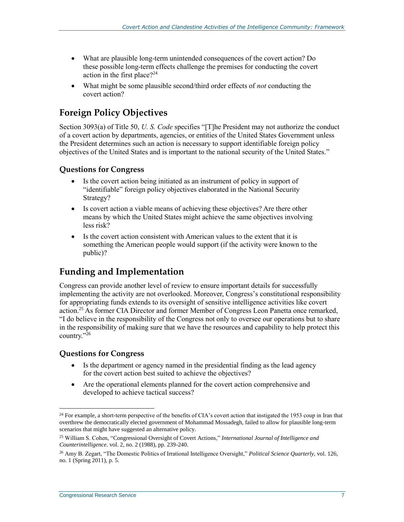- What are plausible long-term unintended consequences of the covert action? Do these possible long-term effects challenge the premises for conducting the covert action in the first place? $24$
- What might be some plausible second/third order effects of *not* conducting the covert action?

### <span id="page-9-0"></span>**Foreign Policy Objectives**

Section 3093(a) of Title 50, *U. S. Code* specifies "[T]he President may not authorize the conduct of a covert action by departments, agencies, or entities of the United States Government unless the President determines such an action is necessary to support identifiable foreign policy objectives of the United States and is important to the national security of the United States."

#### <span id="page-9-1"></span>**Questions for Congress**

- Is the covert action being initiated as an instrument of policy in support of "identifiable" foreign policy objectives elaborated in the National Security Strategy?
- Is covert action a viable means of achieving these objectives? Are there other means by which the United States might achieve the same objectives involving less risk?
- Is the covert action consistent with American values to the extent that it is something the American people would support (if the activity were known to the public)?

### <span id="page-9-2"></span>**Funding and Implementation**

Congress can provide another level of review to ensure important details for successfully implementing the activity are not overlooked. Moreover, Congress's constitutional responsibility for appropriating funds extends to its oversight of sensitive intelligence activities like covert action.<sup>25</sup> As former CIA Director and former Member of Congress Leon Panetta once remarked, "I do believe in the responsibility of the Congress not only to oversee our operations but to share in the responsibility of making sure that we have the resources and capability to help protect this country." 26

#### <span id="page-9-3"></span>**Questions for Congress**

- Is the department or agency named in the presidential finding as the lead agency for the covert action best suited to achieve the objectives?
- Are the operational elements planned for the covert action comprehensive and developed to achieve tactical success?

<sup>&</sup>lt;sup>24</sup> For example, a short-term perspective of the benefits of CIA's covert action that instigated the 1953 coup in Iran that overthrew the democratically elected government of Mohammad Mossadegh, failed to allow for plausible long-term scenarios that might have suggested an alternative policy.

<sup>25</sup> William S. Cohen, "Congressional Oversight of Covert Actions," *International Journal of Intelligence and Counterintelligence*. vol. 2, no. 2 (1988), pp. 239-240.

<sup>26</sup> Amy B. Zegart, "The Domestic Politics of Irrational Intelligence Oversight," *Political Science Quarterly*, vol. 126, no. 1 (Spring 2011), p. 5.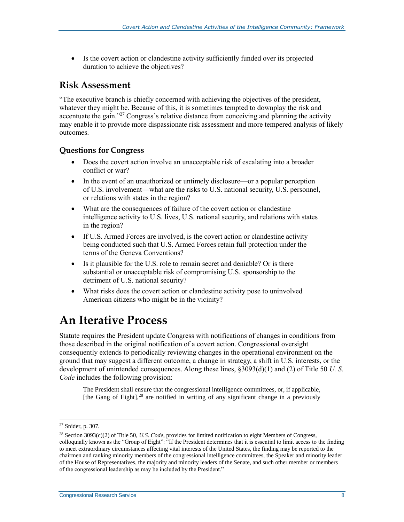Is the covert action or clandestine activity sufficiently funded over its projected duration to achieve the objectives?

#### <span id="page-10-0"></span>**Risk Assessment**

"The executive branch is chiefly concerned with achieving the objectives of the president, whatever they might be. Because of this, it is sometimes tempted to downplay the risk and accentuate the gain."<sup>27</sup> Congress's relative distance from conceiving and planning the activity may enable it to provide more dispassionate risk assessment and more tempered analysis of likely outcomes.

#### <span id="page-10-1"></span>**Questions for Congress**

- Does the covert action involve an unacceptable risk of escalating into a broader conflict or war?
- In the event of an unauthorized or untimely disclosure—or a popular perception of U.S. involvement—what are the risks to U.S. national security, U.S. personnel, or relations with states in the region?
- What are the consequences of failure of the covert action or clandestine intelligence activity to U.S. lives, U.S. national security, and relations with states in the region?
- If U.S. Armed Forces are involved, is the covert action or clandestine activity being conducted such that U.S. Armed Forces retain full protection under the terms of the Geneva Conventions?
- Is it plausible for the U.S. role to remain secret and deniable? Or is there substantial or unacceptable risk of compromising U.S. sponsorship to the detriment of U.S. national security?
- What risks does the covert action or clandestine activity pose to uninvolved American citizens who might be in the vicinity?

## <span id="page-10-2"></span>**An Iterative Process**

Statute requires the President update Congress with notifications of changes in conditions from those described in the original notification of a covert action. Congressional oversight consequently extends to periodically reviewing changes in the operational environment on the ground that may suggest a different outcome, a change in strategy, a shift in U.S. interests, or the development of unintended consequences. Along these lines, §3093(d)(1) and (2) of Title 50 *U. S. Code* includes the following provision:

The President shall ensure that the congressional intelligence committees, or, if applicable, [the Gang of Eight],<sup>28</sup> are notified in writing of any significant change in a previously

<sup>27</sup> Snider, p. 307.

<sup>28</sup> Section 3093(c)(2) of Title 50, *U.S. Code*, provides for limited notification to eight Members of Congress, colloquially known as the "Group of Eight": "If the President determines that it is essential to limit access to the finding to meet extraordinary circumstances affecting vital interests of the United States, the finding may be reported to the chairmen and ranking minority members of the congressional intelligence committees, the Speaker and minority leader of the House of Representatives, the majority and minority leaders of the Senate, and such other member or members of the congressional leadership as may be included by the President."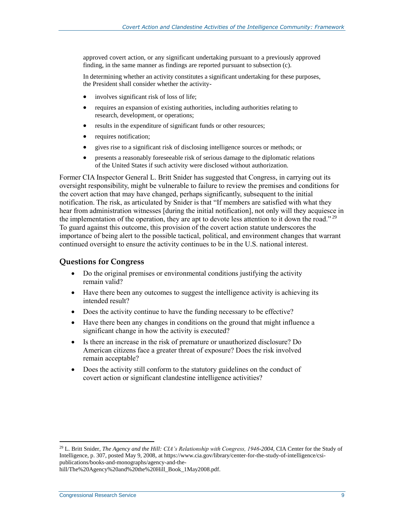approved covert action, or any significant undertaking pursuant to a previously approved finding, in the same manner as findings are reported pursuant to subsection (c).

In determining whether an activity constitutes a significant undertaking for these purposes, the President shall consider whether the activity-

- involves significant risk of loss of life;
- requires an expansion of existing authorities, including authorities relating to research, development, or operations;
- results in the expenditure of significant funds or other resources;
- requires notification;
- gives rise to a significant risk of disclosing intelligence sources or methods; or
- presents a reasonably foreseeable risk of serious damage to the diplomatic relations of the United States if such activity were disclosed without authorization.

Former CIA Inspector General L. Britt Snider has suggested that Congress, in carrying out its oversight responsibility, might be vulnerable to failure to review the premises and conditions for the covert action that may have changed, perhaps significantly, subsequent to the initial notification. The risk, as articulated by Snider is that "If members are satisfied with what they hear from administration witnesses [during the initial notification], not only will they acquiesce in the implementation of the operation, they are apt to devote less attention to it down the road."<sup>29</sup> To guard against this outcome, this provision of the covert action statute underscores the importance of being alert to the possible tactical, political, and environment changes that warrant continued oversight to ensure the activity continues to be in the U.S. national interest.

#### <span id="page-11-0"></span>**Questions for Congress**

- Do the original premises or environmental conditions justifying the activity remain valid?
- Have there been any outcomes to suggest the intelligence activity is achieving its intended result?
- Does the activity continue to have the funding necessary to be effective?
- Have there been any changes in conditions on the ground that might influence a significant change in how the activity is executed?
- Is there an increase in the risk of premature or unauthorized disclosure? Do American citizens face a greater threat of exposure? Does the risk involved remain acceptable?
- Does the activity still conform to the statutory guidelines on the conduct of covert action or significant clandestine intelligence activities?

hill/The%20Agency%20and%20the%20Hill\_Book\_1May2008.pdf.

<sup>29</sup> L. Britt Snider, *The Agency and the Hill: CIA's Relationship with Congress, 1946-2004*, CIA Center for the Study of Intelligence, p. 307, posted May 9, 2008, at https://www.cia.gov/library/center-for-the-study-of-intelligence/csipublications/books-and-monographs/agency-and-the-